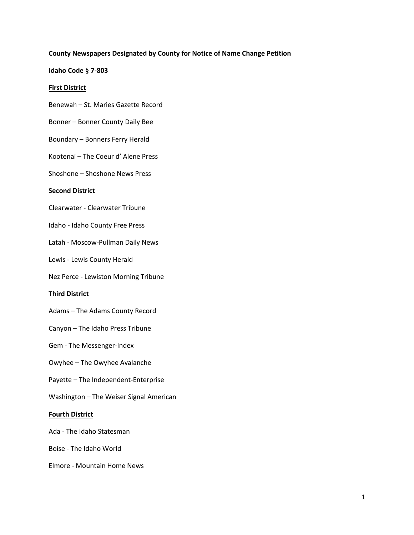## **County Newspapers Designated by County for Notice of Name Change Petition**

## **Idaho Code § 7-803**

## **First District**

- Benewah St. Maries Gazette Record
- Bonner Bonner County Daily Bee
- Boundary Bonners Ferry Herald
- Kootenai The Coeur d' Alene Press
- Shoshone Shoshone News Press

# **Second District**

- Clearwater Clearwater Tribune
- Idaho Idaho County Free Press
- Latah Moscow-Pullman Daily News
- Lewis Lewis County Herald
- Nez Perce Lewiston Morning Tribune

# **Third District**

- Adams The Adams County Record
- Canyon The Idaho Press Tribune
- Gem The Messenger-Index
- Owyhee The Owyhee Avalanche
- Payette The Independent-Enterprise
- Washington The Weiser Signal American

## **Fourth District**

- Ada The Idaho Statesman
- Boise The Idaho World
- Elmore Mountain Home News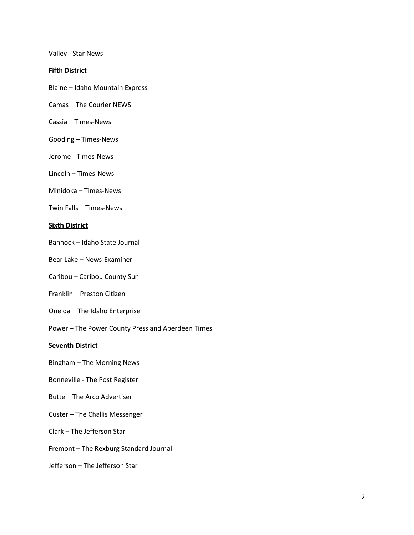Valley - Star News

# **Fifth District**

- Blaine Idaho Mountain Express
- Camas The Courier NEWS
- Cassia Times-News
- Gooding Times-News
- Jerome Times-News
- Lincoln Times-News
- Minidoka Times-News
- Twin Falls Times-News

#### **Sixth District**

- Bannock Idaho State Journal
- Bear Lake News-Examiner
- Caribou Caribou County Sun
- Franklin Preston Citizen
- Oneida The Idaho Enterprise
- Power The Power County Press and Aberdeen Times

# **Seventh District**

- Bingham The Morning News
- Bonneville The Post Register
- Butte The Arco Advertiser
- Custer The Challis Messenger
- Clark The Jefferson Star
- Fremont The Rexburg Standard Journal
- Jefferson The Jefferson Star